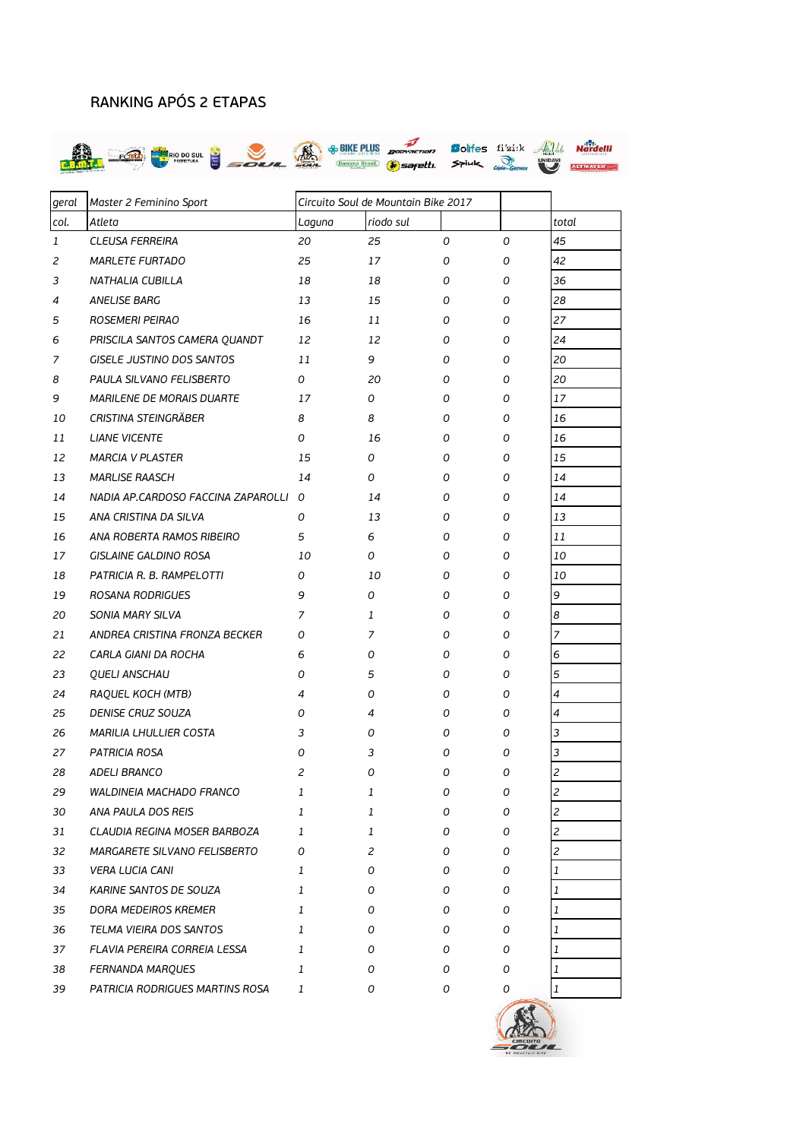## RANKING APÓS 2 ETAPAS



| geral        | Master 2 Feminino Sport            | Circuito Soul de Mountain Bike 2017 |           |              |   |                          |
|--------------|------------------------------------|-------------------------------------|-----------|--------------|---|--------------------------|
| col.         | Atleta                             | Laguna                              | riodo sul |              |   | total                    |
| $\mathbf{1}$ | <b>CLEUSA FERREIRA</b>             | 20                                  | 25        | 0            | O | 45                       |
| 2            | <b>MARLETE FURTADO</b>             | 25                                  | 17        | 0            | 0 | 42                       |
| 3            | NATHALIA CUBILLA                   | 18                                  | 18        | 0            | 0 | 36                       |
| 4            | ANELISE BARG                       | 13                                  | 15        | 0            | 0 | 28                       |
| 5            | ROSEMERI PEIRAO                    | 16                                  | 11        | 0            | 0 | 27                       |
| 6            | PRISCILA SANTOS CAMERA QUANDT      | 12                                  | 12        | 0            | 0 | 24                       |
| 7            | GISELE JUSTINO DOS SANTOS          | 11                                  | 9         | 0            | 0 | 20                       |
| 8            | PAULA SILVANO FELISBERTO           | 0                                   | 20        | 0            | 0 | 20                       |
| 9            | MARILENE DE MORAIS DUARTE          | 17                                  | 0         | 0            | 0 | 17                       |
| 10           | CRISTINA STEINGRÄBER               | 8                                   | 8         | 0            | 0 | 16                       |
| 11           | <b>LIANE VICENTE</b>               | 0                                   | 16        | 0            | 0 | 16                       |
| 12           | <b>MARCIA V PLASTER</b>            | 15                                  | 0         | 0            | 0 | 15                       |
| 13           | <b>MARLISE RAASCH</b>              | 14                                  | 0         | 0            | 0 | 14                       |
| 14           | NADIA AP.CARDOSO FACCINA ZAPAROLLI | 0                                   | 14        | 0            | 0 | 14                       |
| 15           | ANA CRISTINA DA SILVA              | 0                                   | 13        | 0            | 0 | 13                       |
| 16           | ANA ROBERTA RAMOS RIBEIRO          | 5                                   | 6         | 0            | 0 | 11                       |
| 17           | GISLAINE GALDINO ROSA              | 10                                  | 0         | 0            | 0 | 10                       |
| 18           | PATRICIA R. B. RAMPELOTTI          | 0                                   | 10        | 0            | 0 | 10                       |
| 19           | ROSANA RODRIGUES                   | 9                                   | 0         | 0            | 0 | 9                        |
| 20           | SONIA MARY SILVA                   | 7                                   | 1         | 0            | 0 | 8                        |
| 21           | ANDREA CRISTINA FRONZA BECKER      | 0                                   | 7         | 0            | 0 | 7                        |
| 22           | CARLA GIANI DA ROCHA               | 6                                   | 0         | 0            | 0 | 6                        |
| 23           | <b>QUELI ANSCHAU</b>               | 0                                   | 5         | 0            | 0 | 5                        |
| 24           | RAQUEL KOCH (MTB)                  | 4                                   | 0         | 0            | 0 | 4                        |
| 25           | DENISE CRUZ SOUZA                  | 0                                   | 4         | 0            | 0 | 4                        |
| 26           | MARILIA LHULLIER COSTA             | 3                                   | 0         | 0            | 0 | 3                        |
| 27           | <b>PATRICIA ROSA</b>               | 0                                   | 3         | 0            | 0 | 3                        |
| 28           | <b>ADELI BRANCO</b>                | 2                                   | 0         | 0            | 0 | 2                        |
| 29           | WALDINEIA MACHADO FRANCO           | 1                                   | 1         | <sup>n</sup> | O | $\overline{\mathbf{z}}$  |
| 30           | ANA PAULA DOS REIS                 | 1                                   | 1         | 0            | 0 | $\overline{\mathcal{L}}$ |
| 31           | CLAUDIA REGINA MOSER BARBOZA       | 1                                   | 1         | 0            | 0 | $\overline{c}$           |
| 32           | MARGARETE SILVANO FELISBERTO       | 0                                   | 2         | 0            | 0 | 2                        |
| 33           | <b>VERA LUCIA CANI</b>             | 1                                   | 0         | 0            | 0 | 1                        |
| 34           | KARINE SANTOS DE SOUZA             | 1                                   | 0         | 0            | 0 | 1                        |
| 35           | DORA MEDEIROS KREMER               | 1                                   | 0         | 0            | 0 | 1                        |
| 36           | TELMA VIEIRA DOS SANTOS            | 1                                   | 0         | 0            | 0 | 1                        |
| 37           | FLAVIA PEREIRA CORREIA LESSA       | 1                                   | 0         | 0            | 0 | 1                        |
| 38           | FERNANDA MARQUES                   | 1                                   | 0         | 0            | 0 | 1                        |
| 39           | PATRICIA RODRIGUES MARTINS ROSA    | 1                                   | 0         | 0            | 0 | $\mathbf{1}$             |